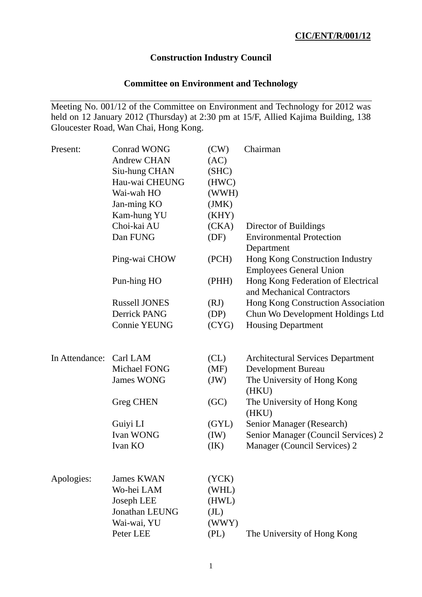# **Construction Industry Council**

# **Committee on Environment and Technology**

Meeting No. 001/12 of the Committee on Environment and Technology for 2012 was held on 12 January 2012 (Thursday) at 2:30 pm at 15/F, Allied Kajima Building, 138 Gloucester Road, Wan Chai, Hong Kong.

| Present:                | <b>Conrad WONG</b>   | (CW)              | Chairman                                                          |
|-------------------------|----------------------|-------------------|-------------------------------------------------------------------|
|                         | <b>Andrew CHAN</b>   | (AC)              |                                                                   |
|                         | Siu-hung CHAN        | (SHC)             |                                                                   |
|                         | Hau-wai CHEUNG       | (HWC)             |                                                                   |
|                         | Wai-wah HO           | (WWH)             |                                                                   |
|                         | Jan-ming KO          | (JMK)             |                                                                   |
|                         | Kam-hung YU          | (KHY)             |                                                                   |
|                         | Choi-kai AU          | (CKA)             | Director of Buildings                                             |
|                         | Dan FUNG             | (DF)              | <b>Environmental Protection</b><br>Department                     |
|                         | Ping-wai CHOW        | (PCH)             | Hong Kong Construction Industry<br><b>Employees General Union</b> |
|                         | Pun-hing HO          | (PHH)             | Hong Kong Federation of Electrical<br>and Mechanical Contractors  |
|                         | <b>Russell JONES</b> | (RJ)              | Hong Kong Construction Association                                |
|                         | Derrick PANG         | (DP)              | Chun Wo Development Holdings Ltd                                  |
|                         | <b>Connie YEUNG</b>  | (CYG)             | <b>Housing Department</b>                                         |
| In Attendance: Carl LAM |                      | CL)               | <b>Architectural Services Department</b>                          |
|                         | Michael FONG         | (MF)              | Development Bureau                                                |
|                         | <b>James WONG</b>    | (JW)              | The University of Hong Kong<br>(HKU)                              |
|                         | <b>Greg CHEN</b>     | (GC)              | The University of Hong Kong<br>(HKU)                              |
|                         | Guiyi LI             | (GYL)             | Senior Manager (Research)                                         |
|                         | <b>Ivan WONG</b>     | (IW)              | Senior Manager (Council Services) 2                               |
|                         | Ivan KO              | (IK)              | Manager (Council Services) 2                                      |
| Apologies:              | <b>James KWAN</b>    | (YCK)             |                                                                   |
|                         | Wo-hei LAM           | (WHL)             |                                                                   |
|                         | Joseph LEE           | (HWL)             |                                                                   |
|                         | Jonathan LEUNG       | (J <sub>L</sub> ) |                                                                   |
|                         | Wai-wai, YU          | (WWY)             |                                                                   |
|                         | Peter LEE            | (PL)              | The University of Hong Kong                                       |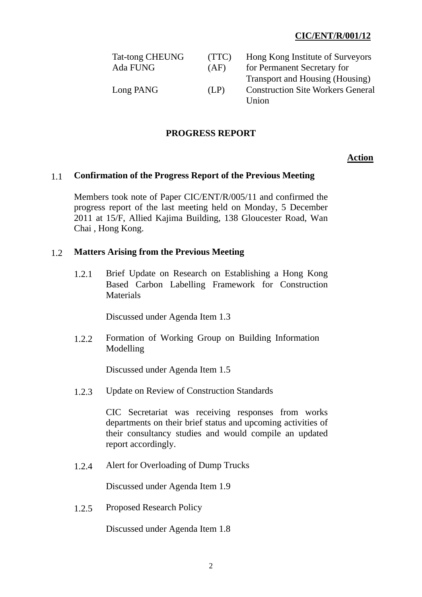## **CIC/ENT/R/001/12**

| <b>Tat-tong CHEUNG</b> | (TTC) | Hong Kong Institute of Surveyors         |
|------------------------|-------|------------------------------------------|
| Ada FUNG               | (AF)  | for Permanent Secretary for              |
|                        |       | Transport and Housing (Housing)          |
| Long PANG              | (LP)  | <b>Construction Site Workers General</b> |
|                        |       | Union                                    |

### **PROGRESS REPORT**

**Action**

### 1.1 **Confirmation of the Progress Report of the Previous Meeting**

Members took note of Paper CIC/ENT/R/005/11 and confirmed the progress report of the last meeting held on Monday, 5 December 2011 at 15/F, Allied Kajima Building, 138 Gloucester Road, Wan Chai , Hong Kong.

#### 1.2 **Matters Arising from the Previous Meeting**

1.2.1 Brief Update on Research on Establishing a Hong Kong Based Carbon Labelling Framework for Construction **Materials** 

Discussed under Agenda Item 1.3

1.2.2 Formation of Working Group on Building Information Modelling

Discussed under Agenda Item 1.5

1.2.3 Update on Review of Construction Standards

CIC Secretariat was receiving responses from works departments on their brief status and upcoming activities of their consultancy studies and would compile an updated report accordingly.

1.2.4 Alert for Overloading of Dump Trucks

Discussed under Agenda Item 1.9

1.2.5 Proposed Research Policy

Discussed under Agenda Item 1.8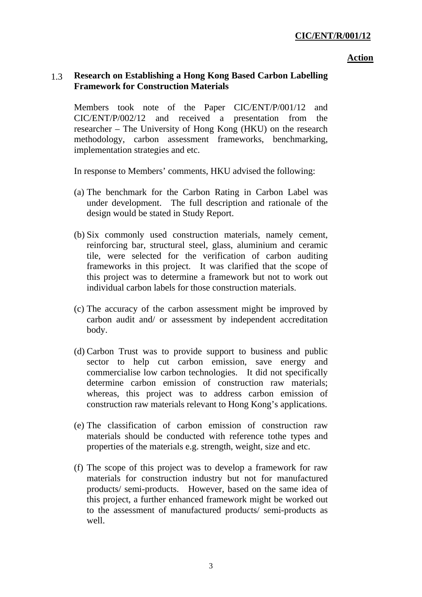#### **Action**

## 1.3 **Research on Establishing a Hong Kong Based Carbon Labelling Framework for Construction Materials**

Members took note of the Paper CIC/ENT/P/001/12 and CIC/ENT/P/002/12 and received a presentation from the researcher – The University of Hong Kong (HKU) on the research methodology, carbon assessment frameworks, benchmarking, implementation strategies and etc.

In response to Members' comments, HKU advised the following:

- (a) The benchmark for the Carbon Rating in Carbon Label was under development. The full description and rationale of the design would be stated in Study Report.
- (b) Six commonly used construction materials, namely cement, reinforcing bar, structural steel, glass, aluminium and ceramic tile, were selected for the verification of carbon auditing frameworks in this project. It was clarified that the scope of this project was to determine a framework but not to work out individual carbon labels for those construction materials.
- (c) The accuracy of the carbon assessment might be improved by carbon audit and/ or assessment by independent accreditation body.
- (d) Carbon Trust was to provide support to business and public sector to help cut carbon emission, save energy and commercialise low carbon technologies. It did not specifically determine carbon emission of construction raw materials; whereas, this project was to address carbon emission of construction raw materials relevant to Hong Kong's applications.
- (e) The classification of carbon emission of construction raw materials should be conducted with reference tothe types and properties of the materials e.g. strength, weight, size and etc.
- (f) The scope of this project was to develop a framework for raw materials for construction industry but not for manufactured products/ semi-products. However, based on the same idea of this project, a further enhanced framework might be worked out to the assessment of manufactured products/ semi-products as well.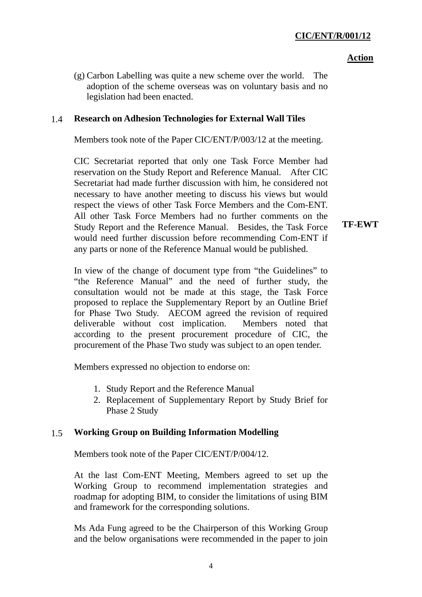## **CIC/ENT/R/001/12**

#### **Action**

(g) Carbon Labelling was quite a new scheme over the world. The adoption of the scheme overseas was on voluntary basis and no legislation had been enacted.

## 1.4 **Research on Adhesion Technologies for External Wall Tiles**

Members took note of the Paper CIC/ENT/P/003/12 at the meeting.

CIC Secretariat reported that only one Task Force Member had reservation on the Study Report and Reference Manual. After CIC Secretariat had made further discussion with him, he considered not necessary to have another meeting to discuss his views but would respect the views of other Task Force Members and the Com-ENT. All other Task Force Members had no further comments on the Study Report and the Reference Manual. Besides, the Task Force would need further discussion before recommending Com-ENT if any parts or none of the Reference Manual would be published.

**TF-EWT** 

In view of the change of document type from "the Guidelines" to "the Reference Manual" and the need of further study, the consultation would not be made at this stage, the Task Force proposed to replace the Supplementary Report by an Outline Brief for Phase Two Study. AECOM agreed the revision of required deliverable without cost implication. Members noted that according to the present procurement procedure of CIC, the procurement of the Phase Two study was subject to an open tender.

Members expressed no objection to endorse on:

- 1. Study Report and the Reference Manual
- 2. Replacement of Supplementary Report by Study Brief for Phase 2 Study

## 1.5 **Working Group on Building Information Modelling**

Members took note of the Paper CIC/ENT/P/004/12.

At the last Com-ENT Meeting, Members agreed to set up the Working Group to recommend implementation strategies and roadmap for adopting BIM, to consider the limitations of using BIM and framework for the corresponding solutions.

Ms Ada Fung agreed to be the Chairperson of this Working Group and the below organisations were recommended in the paper to join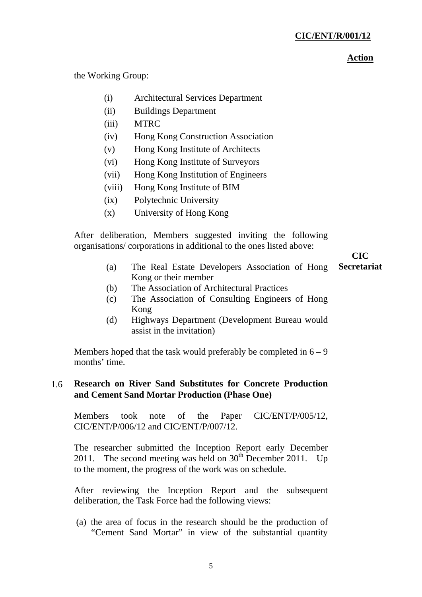### **Action**

the Working Group:

- (i) Architectural Services Department
- (ii) Buildings Department
- (iii) MTRC
- (iv) Hong Kong Construction Association
- (v) Hong Kong Institute of Architects
- (vi) Hong Kong Institute of Surveyors
- (vii) Hong Kong Institution of Engineers
- (viii) Hong Kong Institute of BIM
- (ix) Polytechnic University
- (x) University of Hong Kong

After deliberation, Members suggested inviting the following organisations/ corporations in additional to the ones listed above:

# **CIC**

- (a) The Real Estate Developers Association of Hong Kong or their member **Secretariat**
- (b) The Association of Architectural Practices
- (c) The Association of Consulting Engineers of Hong Kong
- (d) Highways Department (Development Bureau would assist in the invitation)

Members hoped that the task would preferably be completed in  $6 - 9$ months' time.

## 1.6 **Research on River Sand Substitutes for Concrete Production and Cement Sand Mortar Production (Phase One)**

Members took note of the Paper CIC/ENT/P/005/12, CIC/ENT/P/006/12 and CIC/ENT/P/007/12.

The researcher submitted the Inception Report early December 2011. The second meeting was held on  $30<sup>th</sup>$  December 2011. Up to the moment, the progress of the work was on schedule.

After reviewing the Inception Report and the subsequent deliberation, the Task Force had the following views:

(a) the area of focus in the research should be the production of "Cement Sand Mortar" in view of the substantial quantity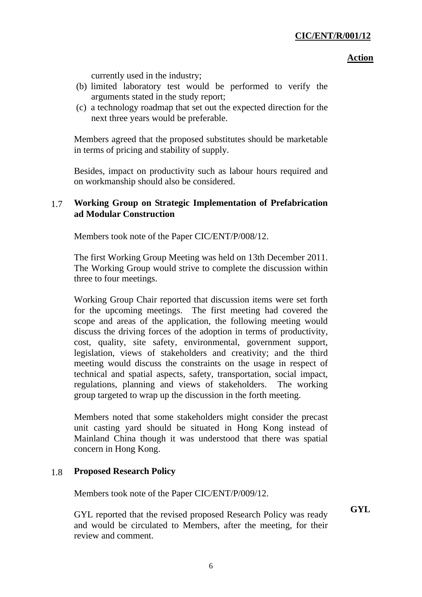### **Action**

currently used in the industry;

- (b) limited laboratory test would be performed to verify the arguments stated in the study report;
- (c) a technology roadmap that set out the expected direction for the next three years would be preferable.

Members agreed that the proposed substitutes should be marketable in terms of pricing and stability of supply.

Besides, impact on productivity such as labour hours required and on workmanship should also be considered.

## 1.7 **Working Group on Strategic Implementation of Prefabrication ad Modular Construction**

Members took note of the Paper CIC/ENT/P/008/12.

The first Working Group Meeting was held on 13th December 2011. The Working Group would strive to complete the discussion within three to four meetings.

Working Group Chair reported that discussion items were set forth for the upcoming meetings. The first meeting had covered the scope and areas of the application, the following meeting would discuss the driving forces of the adoption in terms of productivity, cost, quality, site safety, environmental, government support, legislation, views of stakeholders and creativity; and the third meeting would discuss the constraints on the usage in respect of technical and spatial aspects, safety, transportation, social impact, regulations, planning and views of stakeholders. The working group targeted to wrap up the discussion in the forth meeting.

Members noted that some stakeholders might consider the precast unit casting yard should be situated in Hong Kong instead of Mainland China though it was understood that there was spatial concern in Hong Kong.

## 1.8 **Proposed Research Policy**

Members took note of the Paper CIC/ENT/P/009/12.

**GYL** 

GYL reported that the revised proposed Research Policy was ready and would be circulated to Members, after the meeting, for their review and comment.